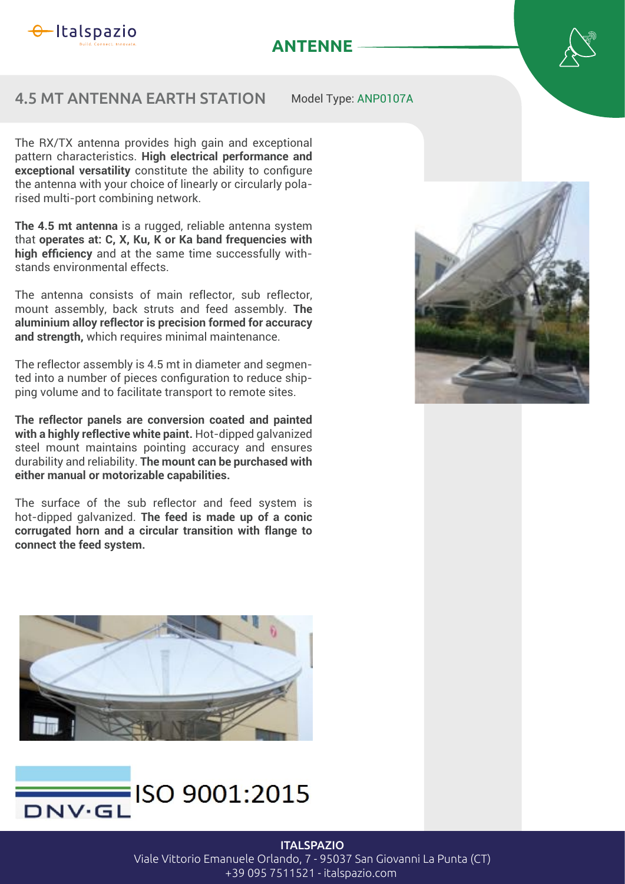

# **ANTENNE**

# 4.5 MT ANTENNA EARTH STATION

Model Type: ANP0107A

The RX/TX antenna provides high gain and exceptional pattern characteristics. **High electrical performance and exceptional versatility** constitute the ability to configure the antenna with your choice of linearly or circularly polarised multi-port combining network.

**The 4.5 mt antenna** is a rugged, reliable antenna system that **operates at: C, X, Ku, K or Ka band frequencies with**  high efficiency and at the same time successfully withstands environmental effects.

The antenna consists of main reflector, sub reflector, mount assembly, back struts and feed assembly. **The aluminium alloy reflector is precision formed for accuracy and strength,** which requires minimal maintenance.

The reflector assembly is 4.5 mt in diameter and segmented into a number of pieces configuration to reduce shipping volume and to facilitate transport to remote sites.

**The reflector panels are conversion coated and painted with a highly reflective white paint.** Hot-dipped galvanized steel mount maintains pointing accuracy and ensures durability and reliability. **The mount can be purchased with either manual or motorizable capabilities.**

The surface of the sub reflector and feed system is hot-dipped galvanized. **The feed is made up of a conic corrugated horn and a circular transition with flange to connect the feed system.**







**ITALSPAZIO** Viale Vittorio Emanuele Orlando, 7 - 95037 San Giovanni La Punta (CT) +39 095 7511521 - italspazio.com